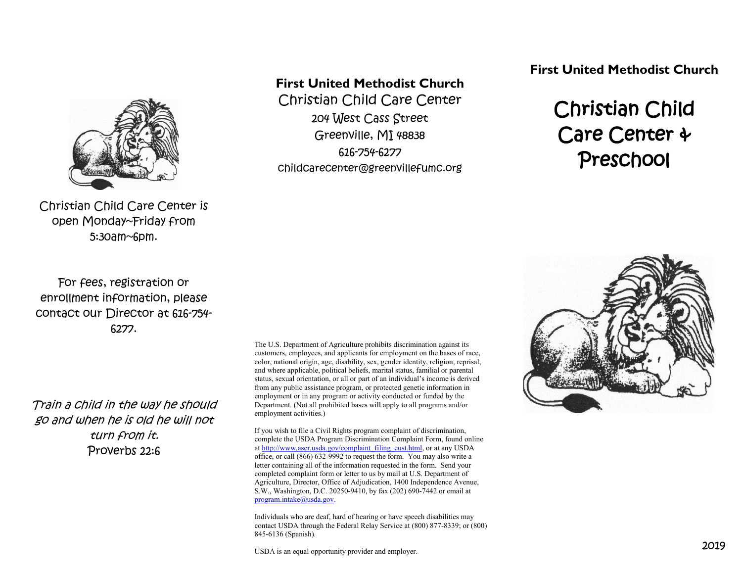

Christian Child Care Center is open Monday~Friday from 5:30am~6pm.

For fees, registration or enrollment information, please contact our Director at 616-754- 6277.

Train a child in the way he should go and when he is old he will not turn from it. Proverbs 22:6

**First United Methodist Church**

Christian Child Care Center 204 West Cass Street Greenville, MI 48838 616-754-6277 childcarecenter@greenvillefumc.org **First United Methodist Church**

# Christian Child Care Center & Preschool



The U.S. Department of Agriculture prohibits discrimination against its customers, employees, and applicants for employment on the bases of race, color, national origin, age, disability, sex, gender identity, religion, reprisal, and where applicable, political beliefs, marital status, familial or parental status, sexual orientation, or all or part of an individual's income is derived from any public assistance program, or protected genetic information in employment or in any program or activity conducted or funded by the Department. (Not all prohibited bases will apply to all programs and/or employment activities.)

If you wish to file a Civil Rights program complaint of discrimination, complete the USDA Program Discrimination Complaint Form, found online at [http://www.ascr.usda.gov/complaint\\_filing\\_cust.html,](http://www.ascr.usda.gov/complaint_filing_cust.html) or at any USDA office, or call (866) 632-9992 to request the form. You may also write a letter containing all of the information requested in the form. Send your completed complaint form or letter to us by mail at U.S. Department of Agriculture, Director, Office of Adjudication, 1400 Independence Avenue, S.W., Washington, D.C. 20250-9410, by fax (202) 690-7442 or email at [program.intake@usda.gov.](mailto:program.intake@usda.gov)

Individuals who are deaf, hard of hearing or have speech disabilities may contact USDA through the Federal Relay Service at (800) 877-8339; or (800) 845-6136 (Spanish).